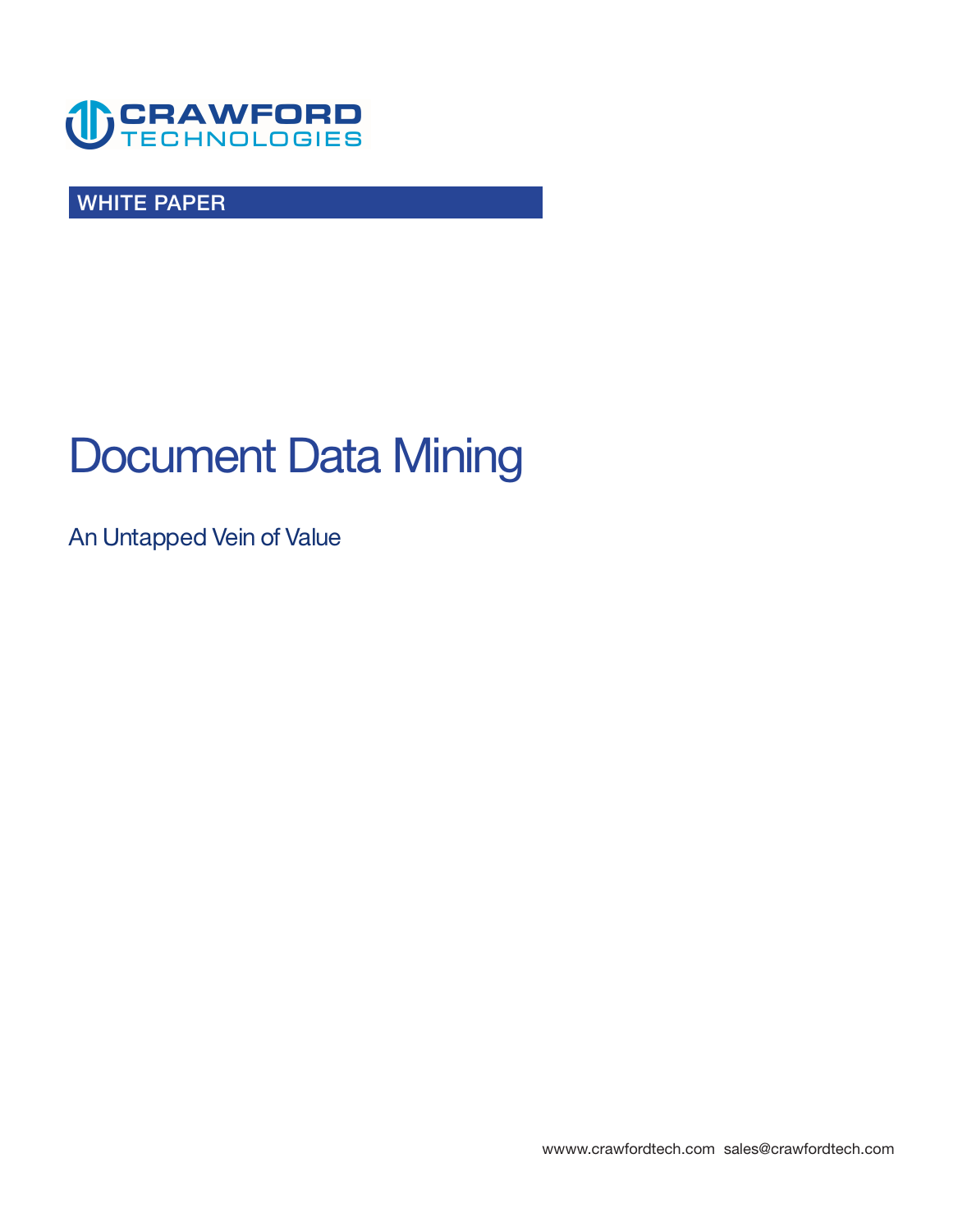

**WHITE PAPER** 

# **Document Data Mining**

**An Untapped Vein of Value** 

**<wwww.crawfordtech.com>[sales@crawfordtech.com](mailto:sales@crawfordtech.com)**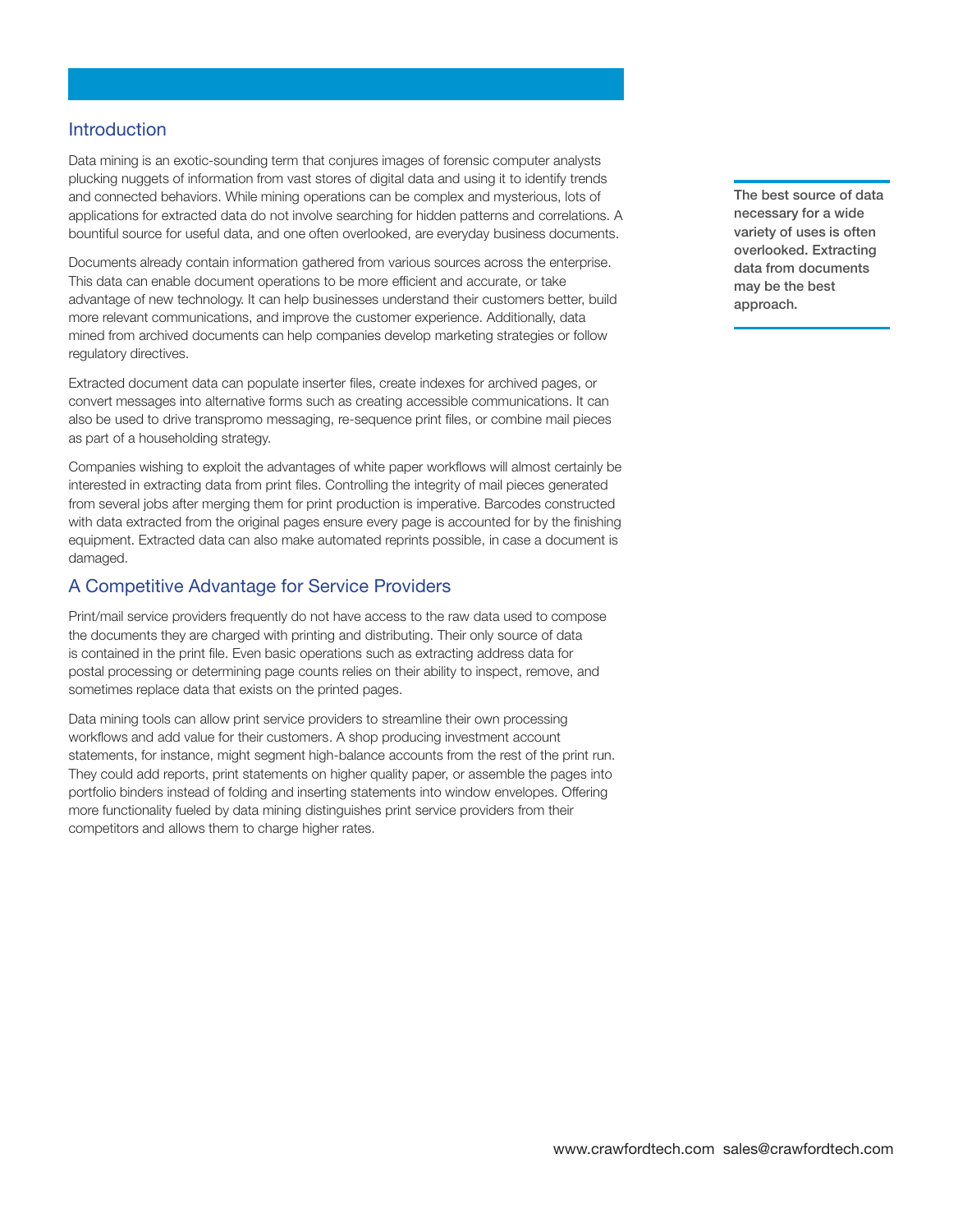#### **Introduction**

**Data mining is an exotic-sounding term that conjures images of forensic computer analysts plucking nuggets of information from vast stores of digital data and using it to identify trends and connected behaviors. While mining operations can be complex and mysterious, lots of applications for extracted data do not involve searching for hidden patterns and correlations. A bountiful source for useful data, and one often overlooked, are everyday business documents.** 

**Documents already contain information gathered from various sources across the enterprise. This data can enable document operations to be more efficient and accurate, or take advantage of new technology. It can help businesses understand their customers better, build more relevant communications, and improve the customer experience. Additionally, data mined from archived documents can help companies develop marketing strategies or follow regulatory directives.** 

**Extracted document data can populate inserter files, create indexes for archived pages, or convert messages into alternative forms such as creating accessible communications. It can also be used to drive transpromo messaging, re-sequence print files, or combine mail pieces as part of a householding strategy.** 

**Companies wishing to exploit the advantages of white paper workflows will almost certainly be interested in extracting data from print files. Controlling the integrity of mail pieces generated from several jobs after merging them for print production is imperative. Barcodes constructed with data extracted from the original pages ensure every page is accounted for by the finishing equipment. Extracted data can also make automated reprints possible, in case a document is damaged.** 

#### **A Competitive Advantage for Service Providers**

**Print/mail service providers frequently do not have access to the raw data used to compose the documents they are charged with printing and distributing. Their only source of data is contained in the print file. Even basic operations such as extracting address data for postal processing or determining page counts relies on their ability to inspect, remove, and sometimes replace data that exists on the printed pages.** 

**Data mining tools can allow print service providers to streamline their own processing workflows and add value for their customers. A shop producing investment account statements, for instance, might segment high-balance accounts from the rest of the print run. They could add reports, print statements on higher quality paper, or assemble the pages into portfolio binders instead of folding and inserting statements into window envelopes. Offering more functionality fueled by data mining distinguishes print service providers from their competitors and allows them to charge higher rates.** 

**The best source of data necessary for a wide variety of uses is often overlooked. Extracting data from documents may be the best approach.**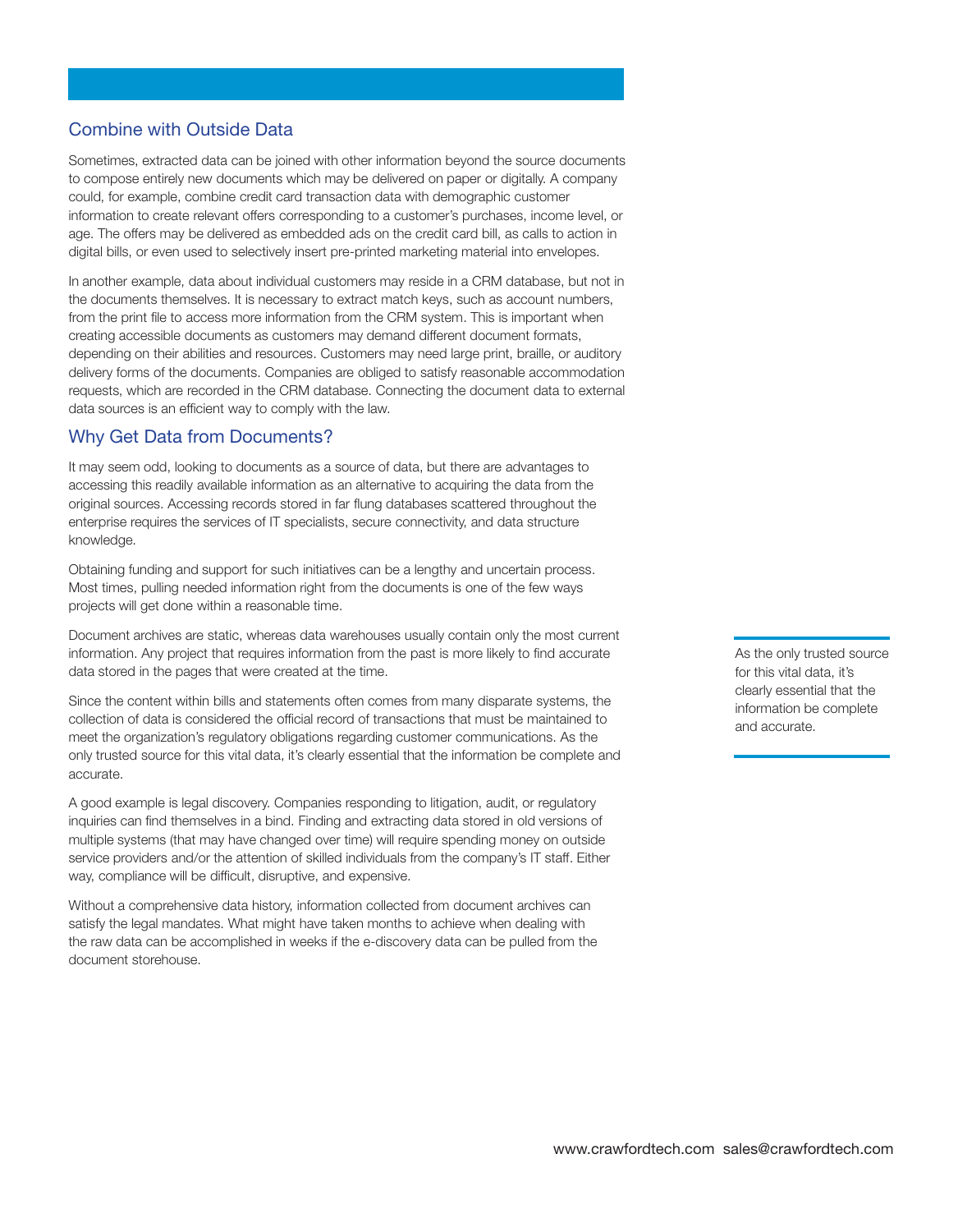# **Combine with Outside Data**

**Sometimes, extracted data can be joined with other information beyond the source documents to compose entirely new documents which may be delivered on paper or digitally. A company could, for example, combine credit card transaction data with demographic customer information to create relevant offers corresponding to a customer's purchases, income level, or age. The offers may be delivered as embedded ads on the credit card bill, as calls to action in digital bills, or even used to selectively insert pre-printed marketing material into envelopes.** 

**In another example, data about individual customers may reside in a CRM database, but not in the documents themselves. It is necessary to extract match keys, such as account numbers, from the print file to access more information from the CRM system. This is important when creating accessible documents as customers may demand different document formats, depending on their abilities and resources. Customers may need large print, braille, or auditory delivery forms of the documents. Companies are obliged to satisfy reasonable accommodation requests, which are recorded in the CRM database. Connecting the document data to external data sources is an efficient way to comply with the law.** 

## **Why Get Data from Documents?**

**It may seem odd, looking to documents as a source of data, but there are advantages to accessing this readily available information as an alternative to acquiring the data from the original sources. Accessing records stored in far flung databases scattered throughout the enterprise requires the services of IT specialists, secure connectivity, and data structure knowledge.** 

**Obtaining funding and support for such initiatives can be a lengthy and uncertain process. Most times, pulling needed information right from the documents is one of the few ways projects will get done within a reasonable time.** 

**Document archives are static, whereas data warehouses usually contain only the most current information. Any project that requires information from the past is more likely to find accurate data stored in the pages that were created at the time.** 

**Since the content within bills and statements often comes from many disparate systems, the collection of data is considered the official record of transactions that must be maintained to meet the organization's regulatory obligations regarding customer communications. As the only trusted source for this vital data, it's clearly essential that the information be complete and accurate.** 

**A good example is legal discovery. Companies responding to litigation, audit, or regulatory inquiries can find themselves in a bind. Finding and extracting data stored in old versions of multiple systems (that may have changed over time) will require spending money on outside service providers and/or the attention of skilled individuals from the company's IT staff. Either way, compliance will be difficult, disruptive, and expensive.** 

**Without a comprehensive data history, information collected from document archives can satisfy the legal mandates. What might have taken months to achieve when dealing with the raw data can be accomplished in weeks if the e-discovery data can be pulled from the document storehouse.** 

**As the only trusted source for this vital data, it's clearly essential that the information be complete and accurate.**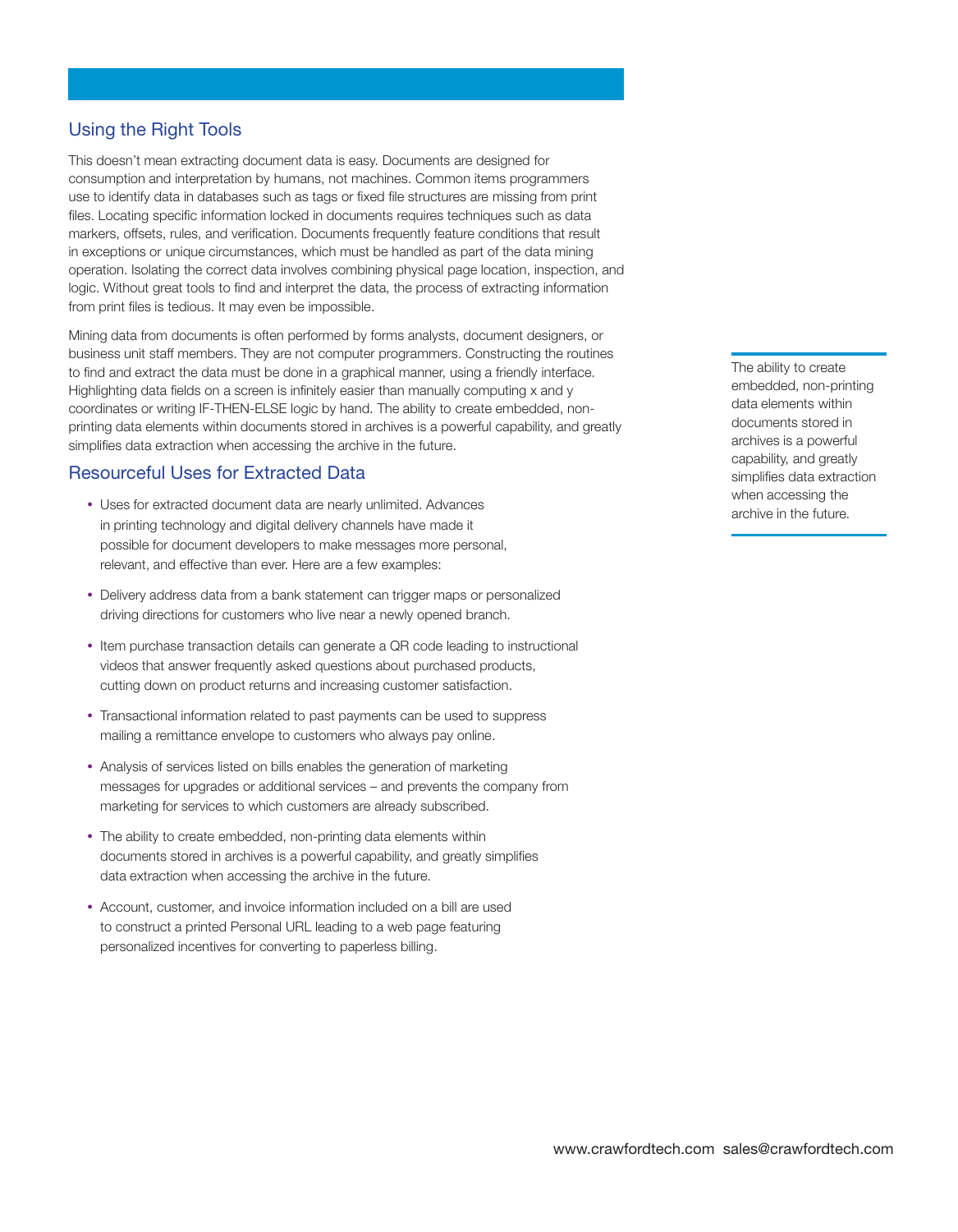# **Using the Right Tools**

**This doesn't mean extracting document data is easy. Documents are designed for consumption and interpretation by humans, not machines. Common items programmers use to identify data in databases such as tags or fixed file structures are missing from print files. Locating specific information locked in documents requires techniques such as data markers, offsets, rules, and verification. Documents frequently feature conditions that result in exceptions or unique circumstances, which must be handled as part of the data mining operation. Isolating the correct data involves combining physical page location, inspection, and logic. Without great tools to find and interpret the data, the process of extracting information from print files is tedious. It may even be impossible.** 

**Mining data from documents is often performed by forms analysts, document designers, or business unit staff members. They are not computer programmers. Constructing the routines to find and extract the data must be done in a graphical manner, using a friendly interface. Highlighting data fields on a screen is infinitely easier than manually computing x and y coordinates or writing IF-THEN-ELSE logic by hand. The ability to create embedded, nonprinting data elements within documents stored in archives is a powerful capability, and greatly simplifies data extraction when accessing the archive in the future.** 

## **Resourceful Uses for Extracted Data**

- **Uses for extracted document data are nearly unlimited. Advances in printing technology and digital delivery channels have made it possible for document developers to make messages more personal, relevant, and effective than ever. Here are a few examples:**
- **Delivery address data from a bank statement can trigger maps or personalized driving directions for customers who live near a newly opened branch.**
- **Item purchase transaction details can generate a QR code leading to instructional videos that answer frequently asked questions about purchased products, cutting down on product returns and increasing customer satisfaction.**
- **Transactional information related to past payments can be used to suppress mailing a remittance envelope to customers who always pay online.**
- **Analysis of services listed on bills enables the generation of marketing messages for upgrades or additional services – and prevents the company from marketing for services to which customers are already subscribed.**
- **The ability to create embedded, non-printing data elements within documents stored in archives is a powerful capability, and greatly simplifies data extraction when accessing the archive in the future.**
- **Account, customer, and invoice information included on a bill are used to construct a printed Personal URL leading to a web page featuring personalized incentives for converting to paperless billing.**

**The ability to create embedded, non-printing data elements within documents stored in archives is a powerful capability, and greatly simplifies data extraction when accessing the archive in the future.**